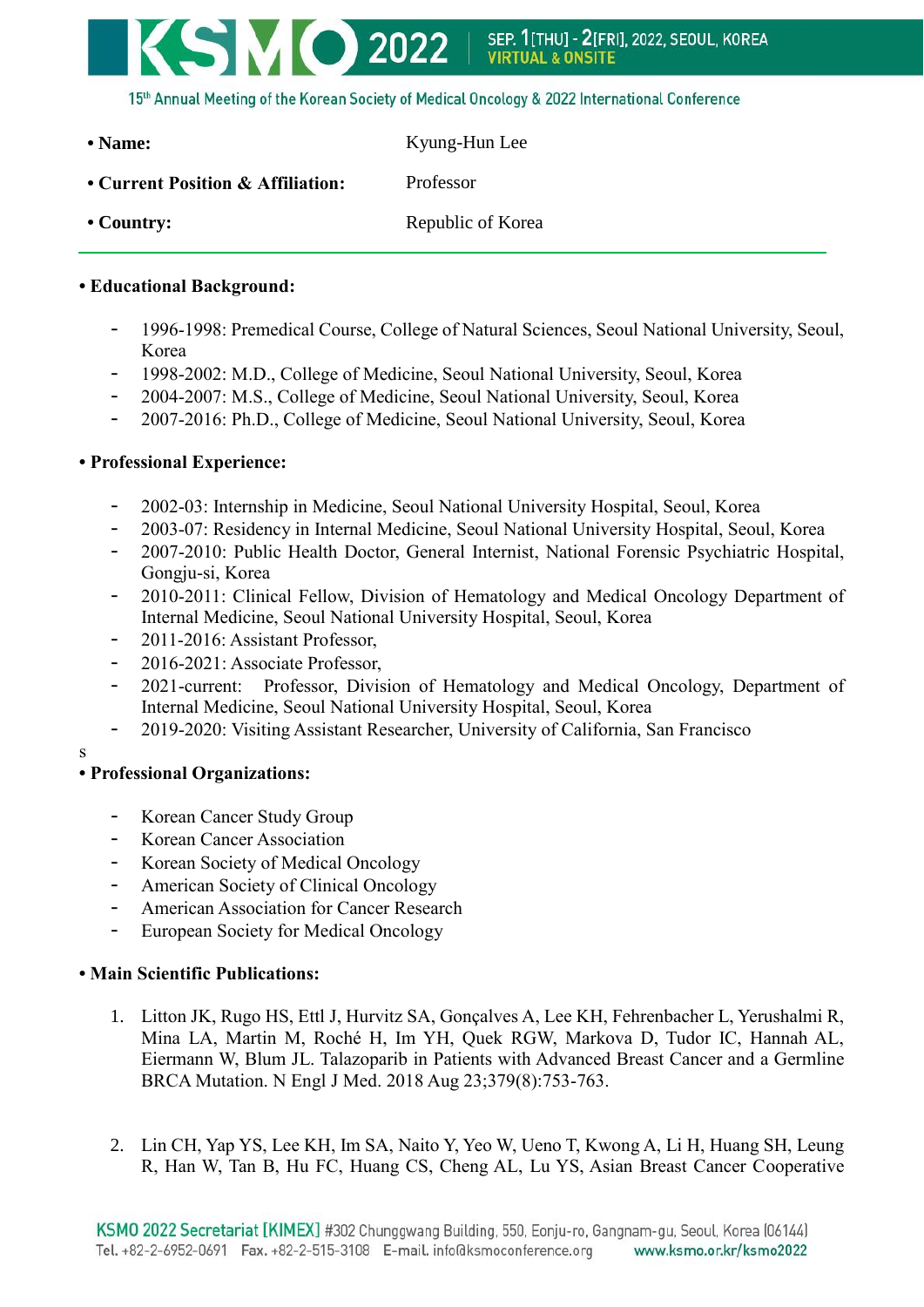

| • Name:                           | Kyung-Hun Lee     |
|-----------------------------------|-------------------|
| • Current Position & Affiliation: | Professor         |
| $\cdot$ Country:                  | Republic of Korea |

## **• Educational Background:**

- 1996-1998: Premedical Course, College of Natural Sciences, Seoul National University, Seoul, Korea
- 1998-2002: M.D., College of Medicine, Seoul National University, Seoul, Korea
- 2004-2007: M.S., College of Medicine, Seoul National University, Seoul, Korea
- 2007-2016: Ph.D., College of Medicine, Seoul National University, Seoul, Korea

## **• Professional Experience:**

- 2002-03: Internship in Medicine, Seoul National University Hospital, Seoul, Korea
- 2003-07: Residency in Internal Medicine, Seoul National University Hospital, Seoul, Korea
- 2007-2010: Public Health Doctor, General Internist, National Forensic Psychiatric Hospital, Gongju-si, Korea
- 2010-2011: Clinical Fellow, Division of Hematology and Medical Oncology Department of Internal Medicine, Seoul National University Hospital, Seoul, Korea
- 2011-2016: Assistant Professor,
- 2016-2021: Associate Professor,
- 2021-current: Professor, Division of Hematology and Medical Oncology, Department of Internal Medicine, Seoul National University Hospital, Seoul, Korea
- 2019-2020: Visiting Assistant Researcher, University of California, San Francisco

s

## **• Professional Organizations:**

- Korean Cancer Study Group
- Korean Cancer Association
- Korean Society of Medical Oncology
- American Society of Clinical Oncology
- American Association for Cancer Research
- European Society for Medical Oncology

## **• Main Scientific Publications:**

- 1. Litton JK, Rugo HS, Ettl J, Hurvitz SA, Gonçalves A, Lee KH, Fehrenbacher L, Yerushalmi R, Mina LA, Martin M, Roché H, Im YH, Quek RGW, Markova D, Tudor IC, Hannah AL, Eiermann W, Blum JL. Talazoparib in Patients with Advanced Breast Cancer and a Germline BRCA Mutation. N Engl J Med. 2018 Aug 23;379(8):753-763.
- 2. Lin CH, Yap YS, Lee KH, Im SA, Naito Y, Yeo W, Ueno T, Kwong A, Li H, Huang SH, Leung R, Han W, Tan B, Hu FC, Huang CS, Cheng AL, Lu YS, Asian Breast Cancer Cooperative